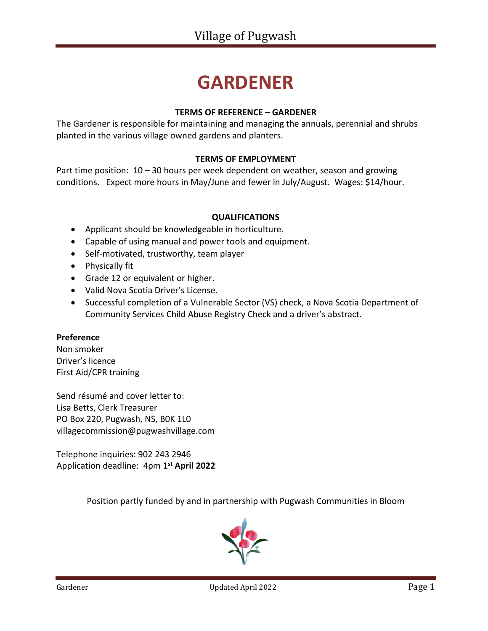# **GARDENER**

#### **TERMS OF REFERENCE – GARDENER**

The Gardener is responsible for maintaining and managing the annuals, perennial and shrubs planted in the various village owned gardens and planters.

#### **TERMS OF EMPLOYMENT**

Part time position:  $10 - 30$  hours per week dependent on weather, season and growing conditions. Expect more hours in May/June and fewer in July/August. Wages: \$14/hour.

#### **QUALIFICATIONS**

- Applicant should be knowledgeable in horticulture.
- Capable of using manual and power tools and equipment.
- Self-motivated, trustworthy, team player
- Physically fit
- Grade 12 or equivalent or higher.
- Valid Nova Scotia Driver's License.
- Successful completion of a Vulnerable Sector (VS) check, a Nova Scotia Department of Community Services Child Abuse Registry Check and a driver's abstract.

#### **Preference**

Non smoker Driver's licence First Aid/CPR training

Send résumé and cover letter to: Lisa Betts, Clerk Treasurer PO Box 220, Pugwash, NS, B0K 1L0 [villagecommission@pugwashvillage.com](mailto:villagecommission@pugwashvillage.com)

Telephone inquiries: 902 243 2946 Application deadline: 4pm **1 st April 2022**

Position partly funded by and in partnership with Pugwash Communities in Bloom

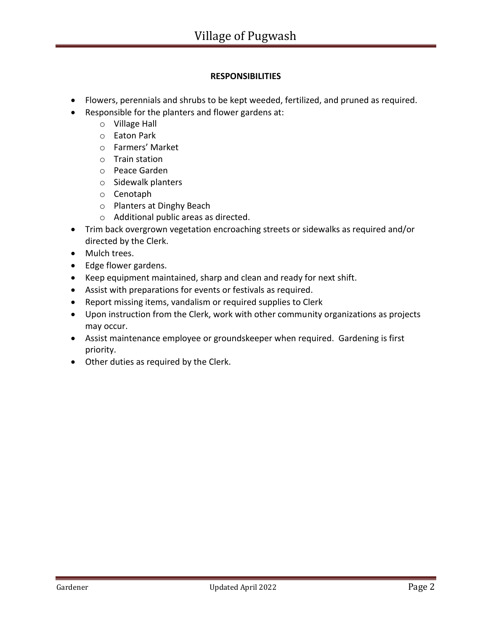### **RESPONSIBILITIES**

- Flowers, perennials and shrubs to be kept weeded, fertilized, and pruned as required.
- Responsible for the planters and flower gardens at:
	- o Village Hall
	- o Eaton Park
	- o Farmers' Market
	- o Train station
	- o Peace Garden
	- o Sidewalk planters
	- o Cenotaph
	- o Planters at Dinghy Beach
	- o Additional public areas as directed.
- Trim back overgrown vegetation encroaching streets or sidewalks as required and/or directed by the Clerk.
- Mulch trees.
- Edge flower gardens.
- Keep equipment maintained, sharp and clean and ready for next shift.
- Assist with preparations for events or festivals as required.
- Report missing items, vandalism or required supplies to Clerk
- Upon instruction from the Clerk, work with other community organizations as projects may occur.
- Assist maintenance employee or groundskeeper when required. Gardening is first priority.
- Other duties as required by the Clerk.